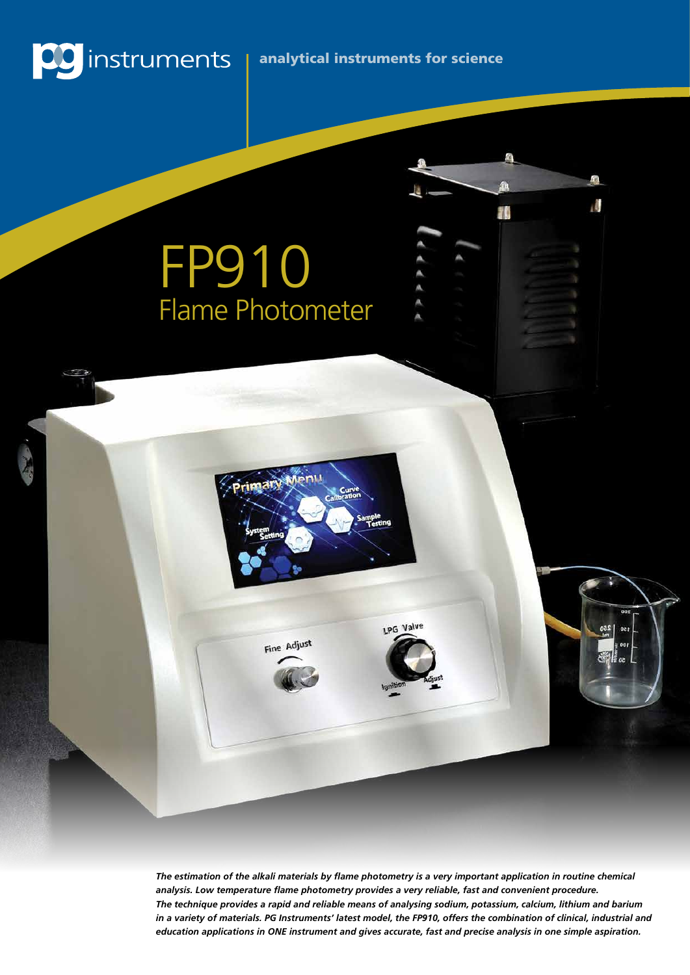

### analytical instruments for science

ı.

Ħ

# FP910 Flame Photometer

LPG Valve Fine Adjust

> *The estimation of the alkali materials by flame photometry is a very important application in routine chemical analysis. Low temperature flame photometry provides a very reliable, fast and convenient procedure. The technique provides a rapid and reliable means of analysing sodium, potassium, calcium, lithium and barium in a variety of materials. PG Instruments' latest model, the FP910, offers the combination of clinical, industrial and education applications in ONE instrument and gives accurate, fast and precise analysis in one simple aspiration.*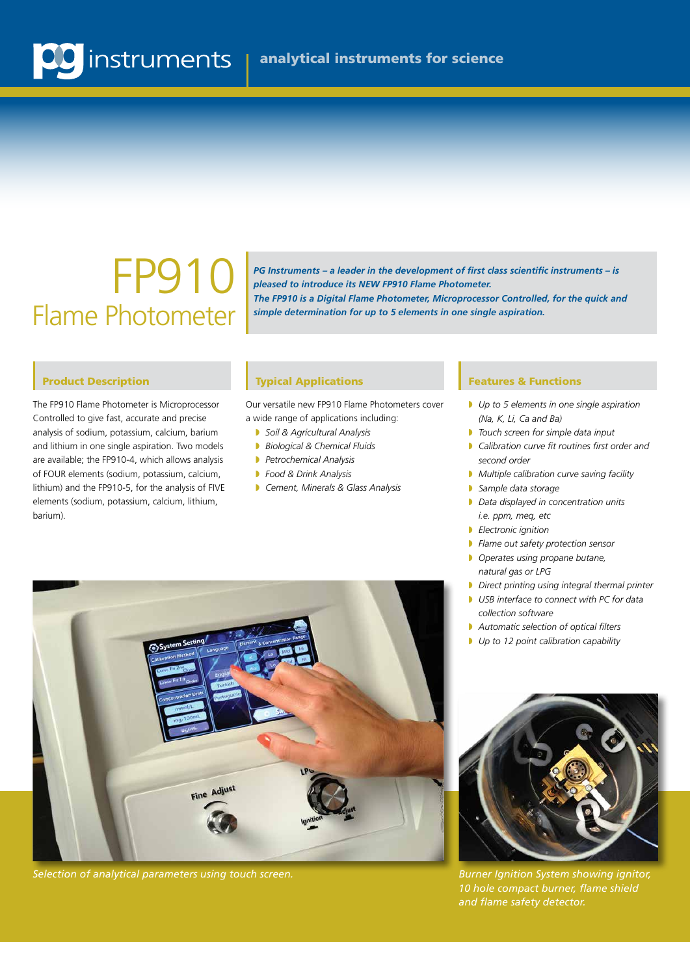### FP910 Flame Photometer

*PG Instruments – a leader in the development of first class scientific instruments – is pleased to introduce its NEW FP910 Flame Photometer. The FP910 is a Digital Flame Photometer, Microprocessor Controlled, for the quick and simple determination for up to 5 elements in one single aspiration.* 

#### Product Description

The FP910 Flame Photometer is Microprocessor Controlled to give fast, accurate and precise analysis of sodium, potassium, calcium, barium and lithium in one single aspiration. Two models are available; the FP910-4, which allows analysis of FOUR elements (sodium, potassium, calcium, lithium) and the FP910-5, for the analysis of FIVE elements (sodium, potassium, calcium, lithium, barium).

#### **Typical Applications Features & Functions**

Our versatile new FP910 Flame Photometers cover a wide range of applications including:

- **B** Soil & Agricultural Analysis
- **Biological & Chemical Fluids**
- **Petrochemical Analysis**
- **Food & Drink Analysis**
- **Cement, Minerals & Glass Analysis**

- *Up to 5 elements in one single aspiration (Na, K, Li, Ca and Ba)*
- **D** Touch screen for simple data input
- **D** Calibration curve fit routines first order and  *second order*
- **Multiple calibration curve saving facility**
- **Sample data storage**
- **D** Data displayed in concentration units  *i.e. ppm, meq, etc*
- **B** *Electronic ignition*
- **P** Flame out safety protection sensor
- **D** Operates using propane butane,  *natural gas or LPG*
- **D** Direct printing using integral thermal printer
- **D** USB interface to connect with PC for data  *collection software*
- **Automatic selection of optical filters**
- *Up to 12 point calibration capability*



*Selection of analytical parameters using touch screen. Burner Ignition System showing ignitor,* 



*10 hole compact burner, flame shield and flame safety detector.*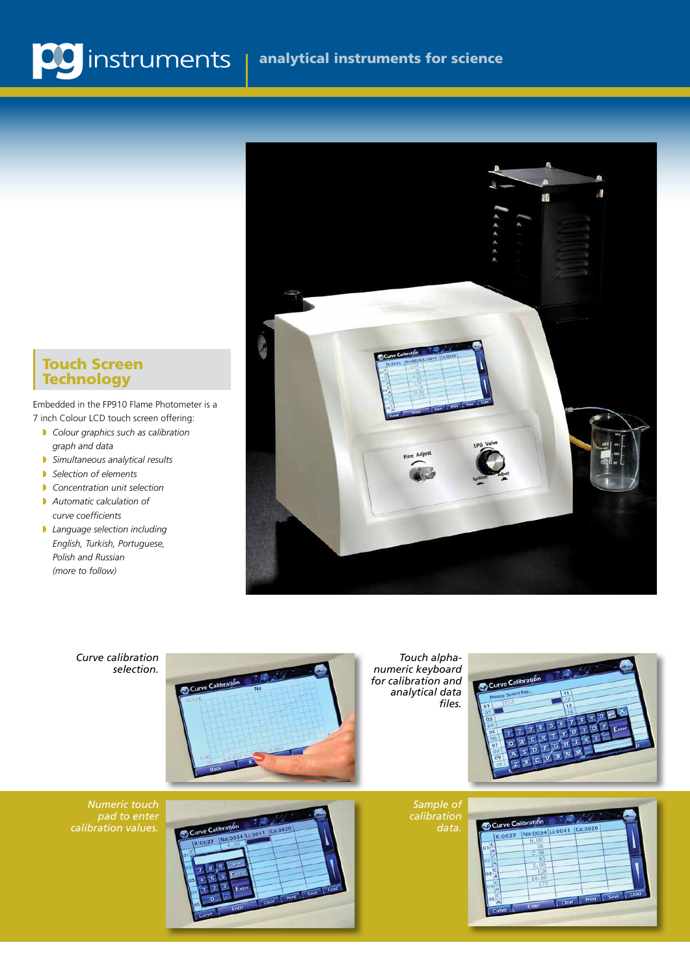#### Touch Screen Technology

Embedded in the FP910 Flame Photometer is a 7 inch Colour LCD touch screen offering:

- **Colour graphics such as calibration**  *graph and data*
- w *Simultaneous analytical results*
- **B** Selection of elements
- **Concentration unit selection**
- **Automatic calculation of**  *curve coefficients*
- **Language selection including**  *English, Turkish, Portuguese, Polish and Russian (more to follow)*



*Curve calibration selection.*



*Touch alphanumeric keyboard for calibration and analytical data files.*



*Numeric touch pad to enter* 



*Sample of calibration*